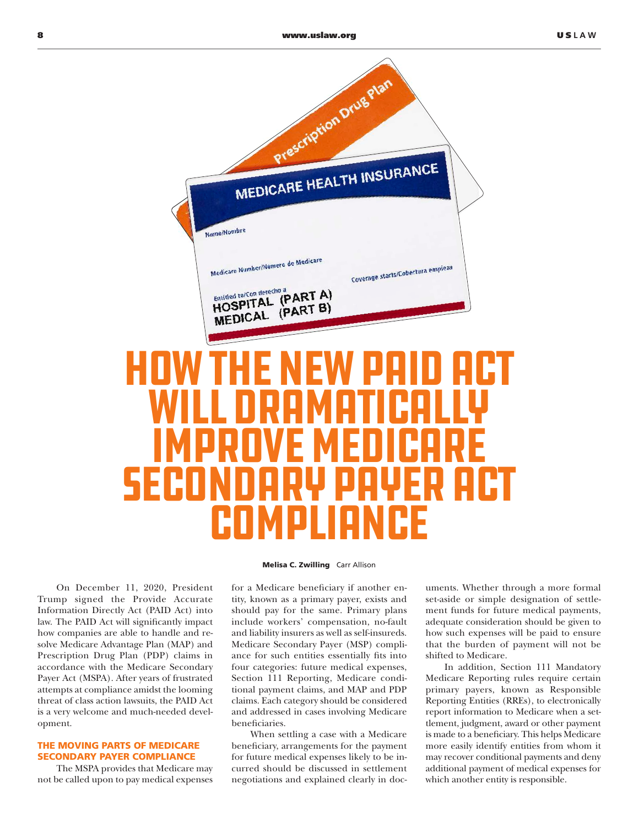

On December 11, 2020, President Trump signed the Provide Accurate Information Directly Act (PAID Act) into law. The PAID Act will significantly impact how companies are able to handle and resolve Medicare Advantage Plan (MAP) and Prescription Drug Plan (PDP) claims in accordance with the Medicare Secondary Payer Act (MSPA). After years of frustrated attempts at compliance amidst the looming threat of class action lawsuits, the PAID Act is a very welcome and much-needed development.

# THE MOVING PARTS OF MEDICARE SECONDARY PAYER COMPLIANCE

The MSPA provides that Medicare may not be called upon to pay medical expenses

#### Melisa C. Zwilling Carr Allison

**COMPLIANCE** 

for a Medicare beneficiary if another entity, known as a primary payer, exists and should pay for the same. Primary plans include workers' compensation, no-fault and liability insurers as well as self-insureds. Medicare Secondary Payer (MSP) compliance for such entities essentially fits into four categories: future medical expenses, Section 111 Reporting, Medicare conditional payment claims, and MAP and PDP claims. Each category should be considered and addressed in cases involving Medicare beneficiaries.

When settling a case with a Medicare beneficiary, arrangements for the payment for future medical expenses likely to be incurred should be discussed in settlement negotiations and explained clearly in documents. Whether through a more formal set-aside or simple designation of settlement funds for future medical payments, adequate consideration should be given to how such expenses will be paid to ensure that the burden of payment will not be shifted to Medicare.

In addition, Section 111 Mandatory Medicare Reporting rules require certain primary payers, known as Responsible Reporting Entities (RREs), to electronically report information to Medicare when a settlement, judgment, award or other payment is made to a beneficiary. This helps Medicare more easily identify entities from whom it may recover conditional payments and deny additional payment of medical expenses for which another entity is responsible.